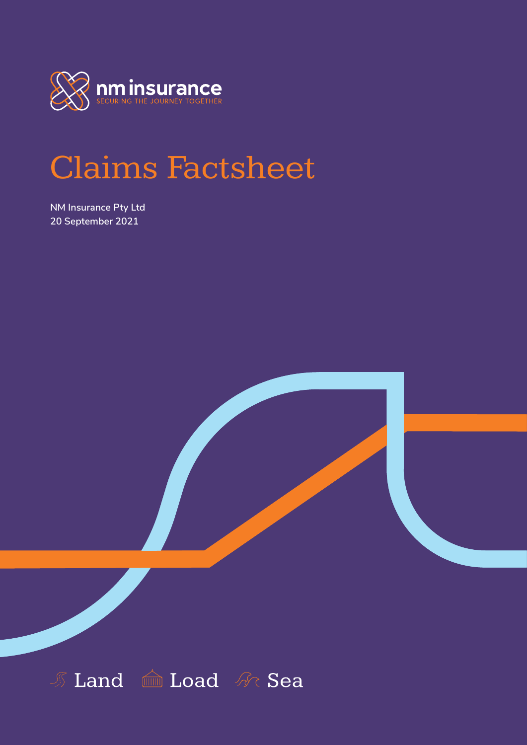

# Claims Factsheet

**NM Insurance Pty Ltd 20 September 2021**

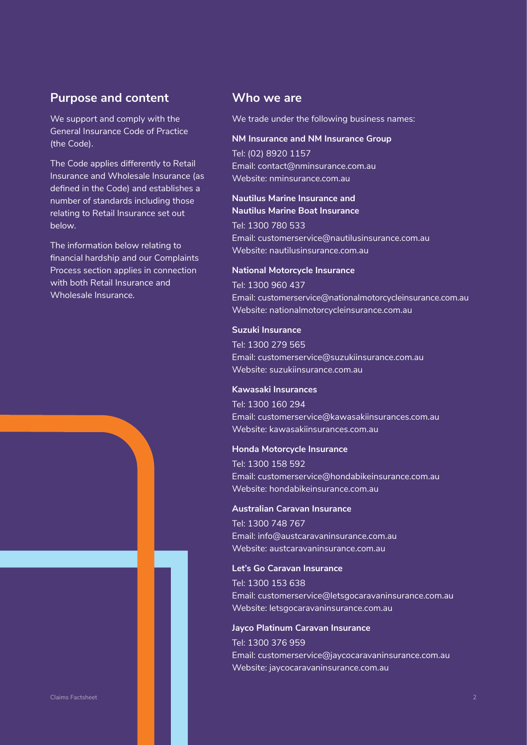## **Purpose and content**

We support and comply with the General Insurance Code of Practice (the Code).

The Code applies differently to Retail Insurance and Wholesale Insurance (as defined in the Code) and establishes a number of standards including those relating to Retail Insurance set out below.

The information below relating to financial hardship and our Complaints Process section applies in connection with both Retail Insurance and Wholesale Insurance.

## **Who we are**

We trade under the following business names:

#### **NM Insurance and NM Insurance Group**

Tel: (02) 8920 1157 Email: contact@nminsurance.com.au Website: nminsurance.com.au

## **Nautilus Marine Insurance and Nautilus Marine Boat Insurance**

Tel: 1300 780 533 Email: customerservice@nautilusinsurance.com.au Website: nautilusinsurance.com.au

## **National Motorcycle Insurance**

Tel: 1300 960 437 Email: customerservice@nationalmotorcycleinsurance.com.au Website: nationalmotorcycleinsurance.com.au

#### **Suzuki Insurance**

Tel: 1300 279 565 Email: customerservice@suzukiinsurance.com.au Website: suzukiinsurance.com.au

#### **Kawasaki Insurances**

Tel: 1300 160 294 Email: customerservice@kawasakiinsurances.com.au Website: kawasakiinsurances.com.au

## **Honda Motorcycle Insurance**

Tel: 1300 158 592 Email: customerservice@hondabikeinsurance.com.au Website: hondabikeinsurance.com.au

## **Australian Caravan Insurance**

Tel: 1300 748 767 Email: info@austcaravaninsurance.com.au Website: austcaravaninsurance.com.au

#### **Let's Go Caravan Insurance**

Tel: 1300 153 638 Email: customerservice@letsgocaravaninsurance.com.au Website: letsgocaravaninsurance.com.au

#### **Jayco Platinum Caravan Insurance**

Tel: 1300 376 959 Email: customerservice@jaycocaravaninsurance.com.au Website: jaycocaravaninsurance.com.au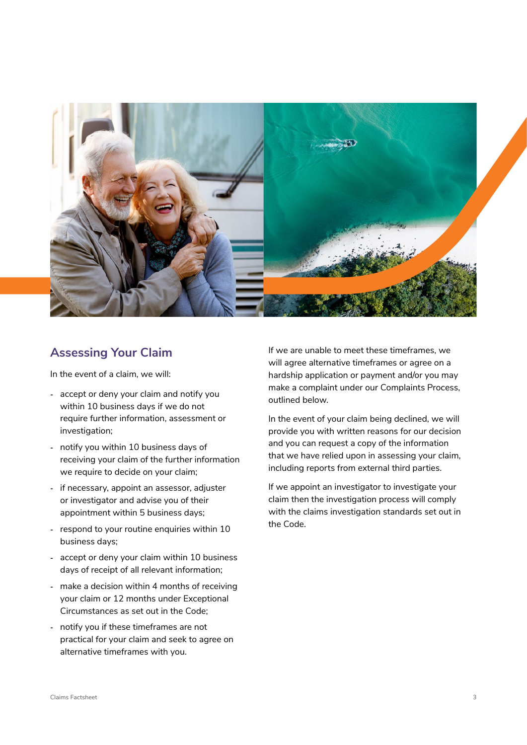

## **Assessing Your Claim**

In the event of a claim, we will:

- **‐** accept or deny your claim and notify you within 10 business days if we do not require further information, assessment or investigation;
- **‐** notify you within 10 business days of receiving your claim of the further information we require to decide on your claim;
- **‐** if necessary, appoint an assessor, adjuster or investigator and advise you of their appointment within 5 business days;
- **‐** respond to your routine enquiries within 10 business days;
- **‐** accept or deny your claim within 10 business days of receipt of all relevant information;
- **‐** make a decision within 4 months of receiving your claim or 12 months under Exceptional Circumstances as set out in the Code;
- **‐** notify you if these timeframes are not practical for your claim and seek to agree on alternative timeframes with you.

If we are unable to meet these timeframes, we will agree alternative timeframes or agree on a hardship application or payment and/or you may make a complaint under our Complaints Process, outlined below.

In the event of your claim being declined, we will provide you with written reasons for our decision and you can request a copy of the information that we have relied upon in assessing your claim, including reports from external third parties.

If we appoint an investigator to investigate your claim then the investigation process will comply with the claims investigation standards set out in the Code.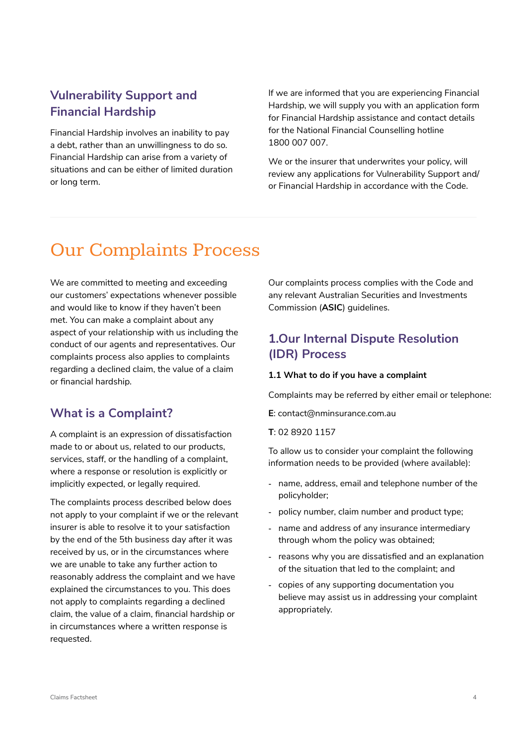## **Vulnerability Support and Financial Hardship**

Financial Hardship involves an inability to pay a debt, rather than an unwillingness to do so. Financial Hardship can arise from a variety of situations and can be either of limited duration or long term.

If we are informed that you are experiencing Financial Hardship, we will supply you with an application form for Financial Hardship assistance and contact details for the National Financial Counselling hotline 1800 007 007.

We or the insurer that underwrites your policy, will review any applications for Vulnerability Support and/ or Financial Hardship in accordance with the Code.

## Our Complaints Process

We are committed to meeting and exceeding our customers' expectations whenever possible and would like to know if they haven't been met. You can make a complaint about any aspect of your relationship with us including the conduct of our agents and representatives. Our complaints process also applies to complaints regarding a declined claim, the value of a claim or financial hardship.

## **What is a Complaint?**

A complaint is an expression of dissatisfaction made to or about us, related to our products, services, staff, or the handling of a complaint, where a response or resolution is explicitly or implicitly expected, or legally required.

The complaints process described below does not apply to your complaint if we or the relevant insurer is able to resolve it to your satisfaction by the end of the 5th business day after it was received by us, or in the circumstances where we are unable to take any further action to reasonably address the complaint and we have explained the circumstances to you. This does not apply to complaints regarding a declined claim, the value of a claim, financial hardship or in circumstances where a written response is requested.

Our complaints process complies with the Code and any relevant Australian Securities and Investments Commission (**ASIC**) guidelines.

## **1.Our Internal Dispute Resolution (IDR) Process**

## **1.1 What to do if you have a complaint**

Complaints may be referred by either email or telephone:

**E**: contact@nminsurance.com.au

**T**: 02 8920 1157

To allow us to consider your complaint the following information needs to be provided (where available):

- **‐** name, address, email and telephone number of the policyholder;
- **‐** policy number, claim number and product type;
- **‐** name and address of any insurance intermediary through whom the policy was obtained;
- **‐** reasons why you are dissatisfied and an explanation of the situation that led to the complaint; and
- **‐** copies of any supporting documentation you believe may assist us in addressing your complaint appropriately.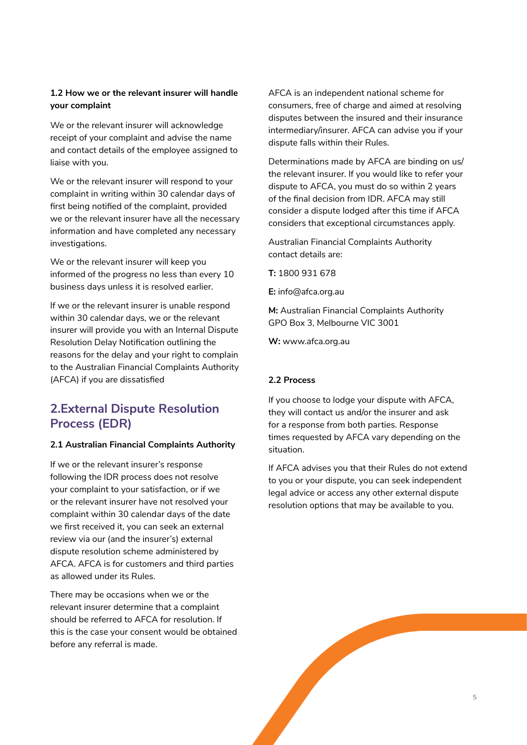## **1.2 How we or the relevant insurer will handle your complaint**

We or the relevant insurer will acknowledge receipt of your complaint and advise the name and contact details of the employee assigned to liaise with you.

We or the relevant insurer will respond to your complaint in writing within 30 calendar days of first being notified of the complaint, provided we or the relevant insurer have all the necessary information and have completed any necessary investigations.

We or the relevant insurer will keep you informed of the progress no less than every 10 business days unless it is resolved earlier.

If we or the relevant insurer is unable respond within 30 calendar days, we or the relevant insurer will provide you with an Internal Dispute Resolution Delay Notification outlining the reasons for the delay and your right to complain to the Australian Financial Complaints Authority (AFCA) if you are dissatisfied

## **2.External Dispute Resolution Process (EDR)**

## **2.1 Australian Financial Complaints Authority**

If we or the relevant insurer's response following the IDR process does not resolve your complaint to your satisfaction, or if we or the relevant insurer have not resolved your complaint within 30 calendar days of the date we first received it, you can seek an external review via our (and the insurer's) external dispute resolution scheme administered by AFCA. AFCA is for customers and third parties as allowed under its Rules.

There may be occasions when we or the relevant insurer determine that a complaint should be referred to AFCA for resolution. If this is the case your consent would be obtained before any referral is made.

AFCA is an independent national scheme for consumers, free of charge and aimed at resolving disputes between the insured and their insurance intermediary/insurer. AFCA can advise you if your dispute falls within their Rules.

Determinations made by AFCA are binding on us/ the relevant insurer. If you would like to refer your dispute to AFCA, you must do so within 2 years of the final decision from IDR. AFCA may still consider a dispute lodged after this time if AFCA considers that exceptional circumstances apply.

Australian Financial Complaints Authority contact details are:

**T:** 1800 931 678

**E:** info@afca.org.au

**M:** Australian Financial Complaints Authority GPO Box 3, Melbourne VIC 3001

**W:** www.afca.org.au

## **2.2 Process**

If you choose to lodge your dispute with AFCA, they will contact us and/or the insurer and ask for a response from both parties. Response times requested by AFCA vary depending on the situation.

If AFCA advises you that their Rules do not extend to you or your dispute, you can seek independent legal advice or access any other external dispute resolution options that may be available to you.